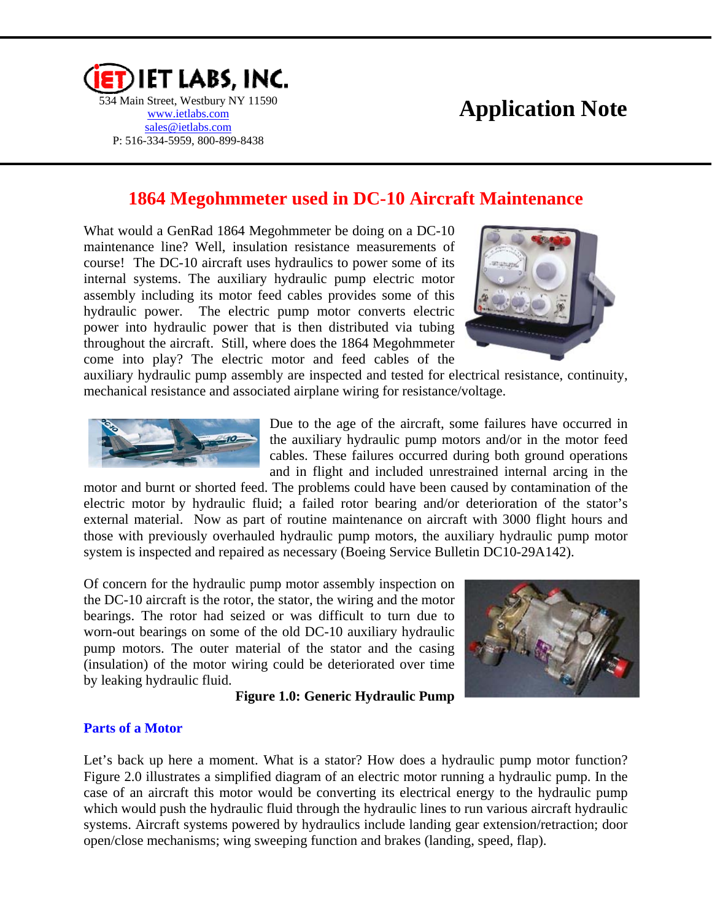

# **Application Note**

# **1864 Megohmmeter used in DC-10 Aircraft Maintenance**

What would a GenRad 1864 Megohmmeter be doing on a DC-10 maintenance line? Well, insulation resistance measurements of course! The DC-10 aircraft uses hydraulics to power some of its internal systems. The auxiliary hydraulic pump electric motor assembly including its motor feed cables provides some of this hydraulic power. The electric pump motor converts electric power into hydraulic power that is then distributed via tubing throughout the aircraft. Still, where does the 1864 Megohmmeter come into play? The electric motor and feed cables of the



auxiliary hydraulic pump assembly are inspected and tested for electrical resistance, continuity, mechanical resistance and associated airplane wiring for resistance/voltage.



Due to the age of the aircraft, some failures have occurred in the auxiliary hydraulic pump motors and/or in the motor feed cables. These failures occurred during both ground operations and in flight and included unrestrained internal arcing in the

motor and burnt or shorted feed. The problems could have been caused by contamination of the electric motor by hydraulic fluid; a failed rotor bearing and/or deterioration of the stator's external material. Now as part of routine maintenance on aircraft with 3000 flight hours and those with previously overhauled hydraulic pump motors, the auxiliary hydraulic pump motor system is inspected and repaired as necessary (Boeing Service Bulletin DC10-29A142).

Of concern for the hydraulic pump motor assembly inspection on the DC-10 aircraft is the rotor, the stator, the wiring and the motor bearings. The rotor had seized or was difficult to turn due to worn-out bearings on some of the old DC-10 auxiliary hydraulic pump motors. The outer material of the stator and the casing (insulation) of the motor wiring could be deteriorated over time by leaking hydraulic fluid.

#### **Figure 1.0: Generic Hydraulic Pump**

#### **Parts of a Motor**

Let's back up here a moment. What is a stator? How does a hydraulic pump motor function? Figure 2.0 illustrates a simplified diagram of an electric motor running a hydraulic pump. In the case of an aircraft this motor would be converting its electrical energy to the hydraulic pump which would push the hydraulic fluid through the hydraulic lines to run various aircraft hydraulic systems. Aircraft systems powered by hydraulics include landing gear extension/retraction; door open/close mechanisms; wing sweeping function and brakes (landing, speed, flap).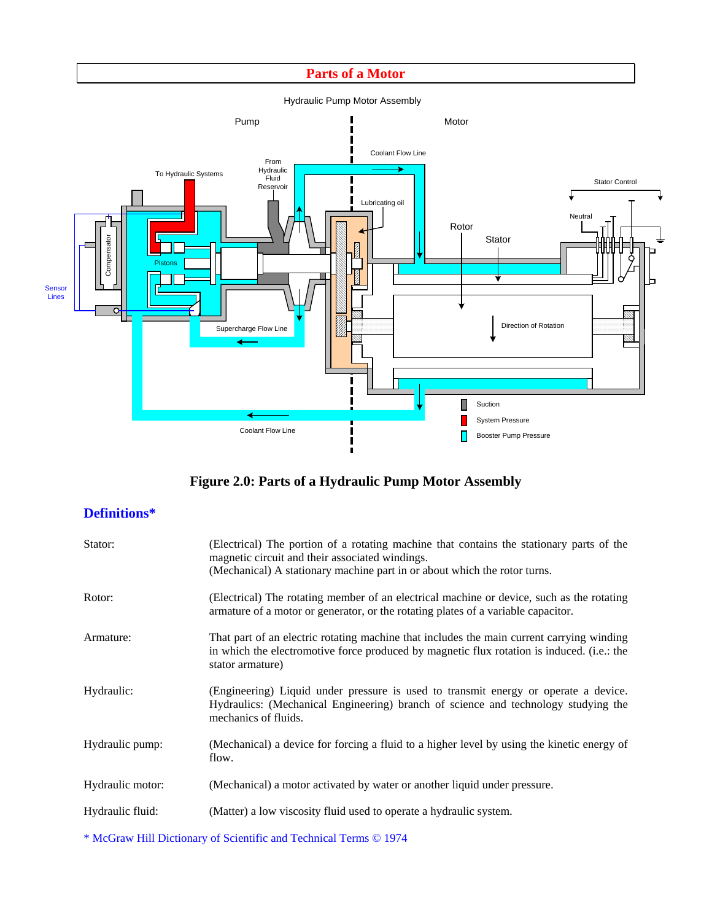#### **Parts of a Motor**



# **Figure 2.0: Parts of a Hydraulic Pump Motor Assembly**

## **Definitions\***

| Stator:          | (Electrical) The portion of a rotating machine that contains the stationary parts of the<br>magnetic circuit and their associated windings.<br>(Mechanical) A stationary machine part in or about which the rotor turns. |
|------------------|--------------------------------------------------------------------------------------------------------------------------------------------------------------------------------------------------------------------------|
| Rotor:           | (Electrical) The rotating member of an electrical machine or device, such as the rotating<br>armature of a motor or generator, or the rotating plates of a variable capacitor.                                           |
| Armature:        | That part of an electric rotating machine that includes the main current carrying winding<br>in which the electromotive force produced by magnetic flux rotation is induced. (i.e.: the<br>stator armature)              |
| Hydraulic:       | (Engineering) Liquid under pressure is used to transmit energy or operate a device.<br>Hydraulics: (Mechanical Engineering) branch of science and technology studying the<br>mechanics of fluids.                        |
| Hydraulic pump:  | (Mechanical) a device for forcing a fluid to a higher level by using the kinetic energy of<br>flow.                                                                                                                      |
| Hydraulic motor: | (Mechanical) a motor activated by water or another liquid under pressure.                                                                                                                                                |
| Hydraulic fluid: | (Matter) a low viscosity fluid used to operate a hydraulic system.                                                                                                                                                       |

\* McGraw Hill Dictionary of Scientific and Technical Terms © 1974